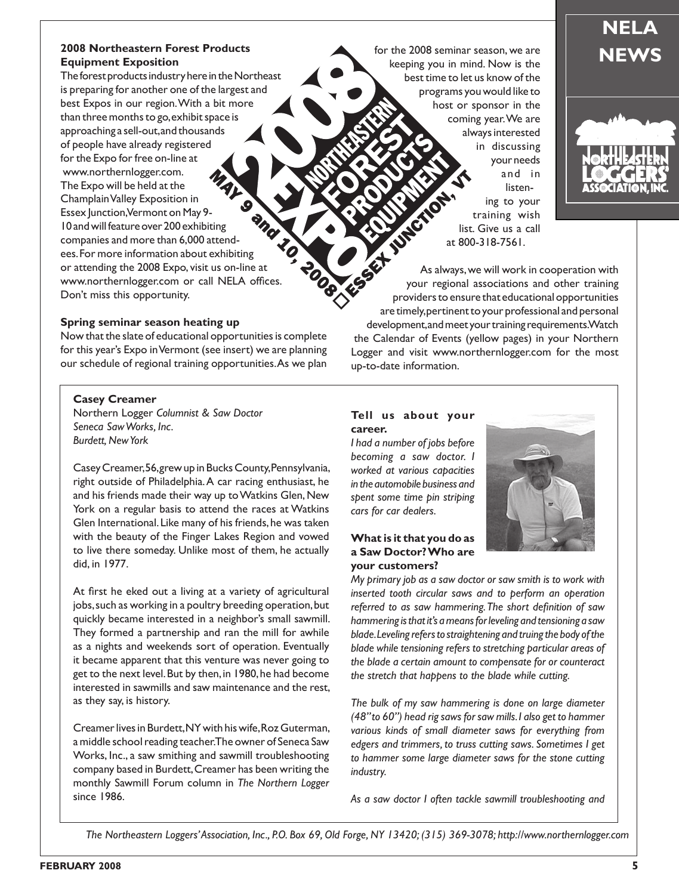## **2008 Northeastern Forest Products**<br> **Equipment Exposition**<br> **Equipment Exposition**<br> **EQUIPMENT REWS Equipment Exposition**

The forest products industry here in the Northeast is preparing for another one of the largest and best Expos in our region. With a bit more than three months to go, exhibit space is approaching a sell-out, and thousands of people have already registered for the Expo for free on-line at www.northernlogger.com. The Expo will be held at the Champlain Valley Exposition in  $\bullet$ and Essex Junction, Vermont on May 9- 10 and will feature over 200 exhibiting companies and more than 6,000 attendees. For more information about exhibiting or attending the 2008 Expo, visit us on-line at www.northernlogger.com or call NELA offices. Don't miss this opportunity.

#### **Spring seminar season heating up**

Now that the slate of educational opportunities is complete for this year's Expo in Vermont (see insert) we are planning our schedule of regional training opportunities. As we plan

#### **Casey Creamer**

Northern Logger *Columnist & Saw Doctor Seneca Saw Works, Inc. Burdett, New York*

Casey Creamer, 56, grew up in Bucks County, Pennsylvania, right outside of Philadelphia. A car racing enthusiast, he and his friends made their way up to Watkins Glen, New York on a regular basis to attend the races at Watkins Glen International. Like many of his friends, he was taken with the beauty of the Finger Lakes Region and vowed to live there someday. Unlike most of them, he actually did, in 1977.

At first he eked out a living at a variety of agricultural jobs, such as working in a poultry breeding operation, but quickly became interested in a neighbor's small sawmill. They formed a partnership and ran the mill for awhile as a nights and weekends sort of operation. Eventually it became apparent that this venture was never going to get to the next level. But by then, in 1980, he had become interested in sawmills and saw maintenance and the rest, as they say, is history.

Creamer lives in Burdett, NY with his wife, Roz Guterman, a middle school reading teacher. The owner of Seneca Saw Works, Inc., a saw smithing and sawmill troubleshooting company based in Burdett, Creamer has been writing the monthly Sawmill Forum column in *The Northern Logger* since 1986.

keeping you in mind. Now is the best time to let us know of the programs you would like to host or sponsor in the coming year. We are always interested in discussing your needs and in listening to your training wish list. Give us a call at 800-318-7561.

As always, we will work in cooperation with your regional associations and other training providers to ensure that educational opportunities are timely, pertinent to your professional and personal<br>are timely, pertinent to your professional and personal<br>and personal<br>and personal<br>and personal<br>and personal<br>and personal<br>and personal<br>and personal<br>and personal<br>and pe development, and meet your training requirements. Watch the Calendar of Events (yellow pages) in your Northern Logger and visit www.northernlogger.com for the most up-to-date information.

#### **Tell us about your career.**

*I had a number of jobs before becoming a saw doctor. I worked at various capacities in the automobile business and spent some time pin striping cars for car dealers.*

## **What is it that you do as a Saw Doctor? Who are your customers?**



*My primary job as a saw doctor or saw smith is to work with inserted tooth circular saws and to perform an operation referred to as saw hammering. The short definition of saw hammering is that it's a means for leveling and tensioning a saw blade. Leveling refers to straightening and truing the body of the blade while tensioning refers to stretching particular areas of the blade a certain amount to compensate for or counteract the stretch that happens to the blade while cutting.*

*The bulk of my saw hammering is done on large diameter (48" to 60") head rig saws for saw mills. I also get to hammer various kinds of small diameter saws for everything from edgers and trimmers, to truss cutting saws. Sometimes I get to hammer some large diameter saws for the stone cutting industry.*

*As a saw doctor I often tackle sawmill troubleshooting and* 

*The Northeastern Loggers' Association, Inc., P.O. Box 69, Old Forge, NY 13420; (315) 369-3078; http://www.northernlogger.com*



# **NELA**

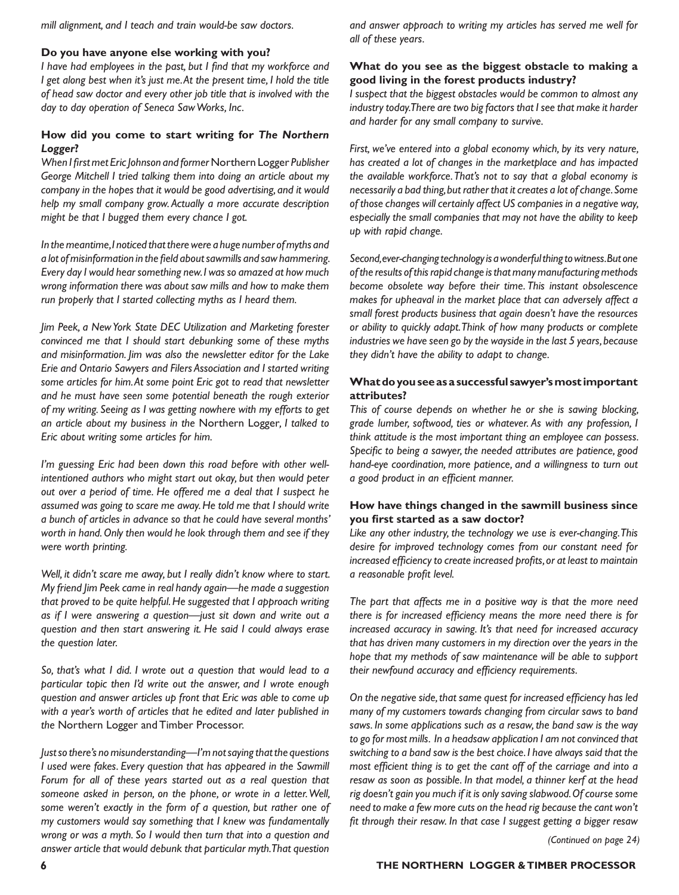*mill alignment, and I teach and train would-be saw doctors.*

#### **Do you have anyone else working with you?**

*I have had employees in the past, but I find that my workforce and I* get along best when it's just me. At the present time, *I* hold the title *of head saw doctor and every other job title that is involved with the day to day operation of Seneca Saw Works, Inc.* 

# **How did you come to start writing for** *The Northern Logger***?**

*When I first met Eric Johnson and former* Northern Logger *Publisher George Mitchell I tried talking them into doing an article about my company in the hopes that it would be good advertising, and it would help my small company grow. Actually a more accurate description might be that I bugged them every chance I got.* 

*In the meantime, I noticed that there were a huge number of myths and a lot of misinformation in the field about sawmills and saw hammering. Every day I would hear something new. I was so amazed at how much wrong information there was about saw mills and how to make them run properly that I started collecting myths as I heard them.*

*Jim Peek, a New York State DEC Utilization and Marketing forester convinced me that I should start debunking some of these myths and misinformation. Jim was also the newsletter editor for the Lake Erie and Ontario Sawyers and Filers Association and I started writing some articles for him. At some point Eric got to read that newsletter and he must have seen some potential beneath the rough exterior of my writing. Seeing as I was getting nowhere with my efforts to get an article about my business in the* Northern Logger*, I talked to Eric about writing some articles for him.*

*I'm guessing Eric had been down this road before with other wellintentioned authors who might start out okay, but then would peter out over a period of time. He offered me a deal that I suspect he assumed was going to scare me away. He told me that I should write a bunch of articles in advance so that he could have several months' worth in hand. Only then would he look through them and see if they were worth printing.*

*Well, it didn't scare me away, but I really didn't know where to start. My friend Jim Peek came in real handy again—he made a suggestion that proved to be quite helpful. He suggested that I approach writing as if I were answering a question—just sit down and write out a question and then start answering it. He said I could always erase the question later.*

*So, that's what I did. I wrote out a question that would lead to a particular topic then I'd write out the answer, and I wrote enough question and answer articles up front that Eric was able to come up with a year's worth of articles that he edited and later published in the* Northern Logger and Timber Processor.

*Just so there's no misunderstanding—I'm not saying that the questions I used were fakes. Every question that has appeared in the Sawmill Forum for all of these years started out as a real question that someone asked in person, on the phone, or wrote in a letter. Well, some weren't exactly in the form of a question, but rather one of my customers would say something that I knew was fundamentally wrong or was a myth. So I would then turn that into a question and answer article that would debunk that particular myth. That question* 

*and answer approach to writing my articles has served me well for all of these years.* 

## **What do you see as the biggest obstacle to making a good living in the forest products industry?**

*I suspect that the biggest obstacles would be common to almost any industry today. There are two big factors that I see that make it harder and harder for any small company to survive.*

*First, we've entered into a global economy which, by its very nature, has created a lot of changes in the marketplace and has impacted the available workforce. That's not to say that a global economy is necessarily a bad thing, but rather that it creates a lot of change. Some of those changes will certainly affect US companies in a negative way, especially the small companies that may not have the ability to keep up with rapid change.*

*Second, ever-changing technology is a wonderful thing to witness. But one of the results of this rapid change is that many manufacturing methods become obsolete way before their time. This instant obsolescence makes for upheaval in the market place that can adversely affect a small forest products business that again doesn't have the resources or ability to quickly adapt. Think of how many products or complete industries we have seen go by the wayside in the last 5 years, because they didn't have the ability to adapt to change.*

### **What do you see as a successful sawyer's most important attributes?**

*This of course depends on whether he or she is sawing blocking, grade lumber, softwood, ties or whatever. As with any profession, I think attitude is the most important thing an employee can possess. Specific to being a sawyer, the needed attributes are patience, good hand-eye coordination, more patience, and a willingness to turn out a good product in an efficient manner.*

## **How have things changed in the sawmill business since you first started as a saw doctor?**

*Like any other industry, the technology we use is ever-changing. This desire for improved technology comes from our constant need for increased efficiency to create increased profits, or at least to maintain a reasonable profit level.* 

*The part that affects me in a positive way is that the more need there is for increased efficiency means the more need there is for increased accuracy in sawing. It's that need for increased accuracy that has driven many customers in my direction over the years in the hope that my methods of saw maintenance will be able to support their newfound accuracy and efficiency requirements.*

*On the negative side, that same quest for increased efficiency has led many of my customers towards changing from circular saws to band saws. In some applications such as a resaw, the band saw is the way to go for most mills. In a headsaw application I am not convinced that switching to a band saw is the best choice. I have always said that the most efficient thing is to get the cant off of the carriage and into a resaw as soon as possible. In that model, a thinner kerf at the head rig doesn't gain you much if it is only saving slabwood. Of course some need to make a few more cuts on the head rig because the cant won't fit through their resaw. In that case I suggest getting a bigger resaw* 

*(Continued on page 24)*